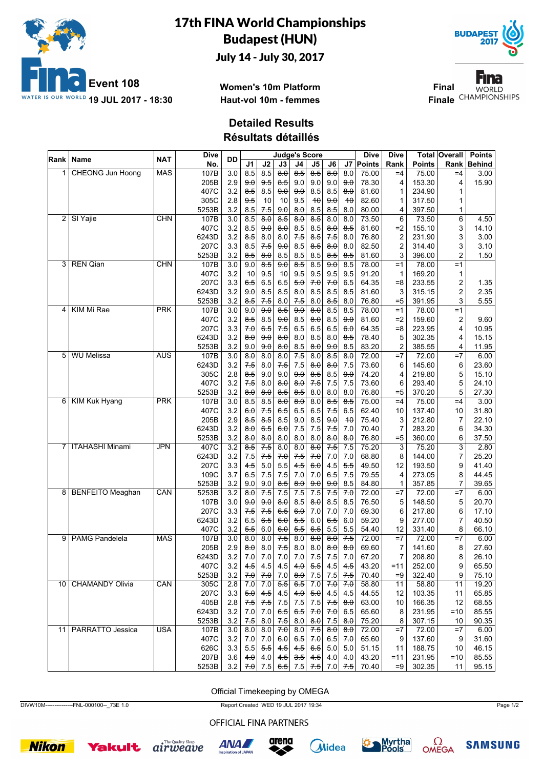

## 17th FINA World Championships Budapest (HUN)

July 14 - July 30, 2017



Fina **Final WORLD Finale** CHAMPIONSHIPS

**Women's 10m Platform Haut-vol 10m - femmes**

## **Detailed Results**

**Résultats détaillés**

|                 | ∣Rank ∣ Name            | <b>NAT</b> | Dive  | <b>DD</b>        |                     |                  |                     |                     | <b>Judge's Score</b>             |                                  |                     | Dive          | Dive           |               | <b>Total Overall</b> | <b>Points</b> |
|-----------------|-------------------------|------------|-------|------------------|---------------------|------------------|---------------------|---------------------|----------------------------------|----------------------------------|---------------------|---------------|----------------|---------------|----------------------|---------------|
|                 |                         |            | No.   |                  | J1                  | J2               | $\mathsf{J3}$       | J4                  | J <sub>5</sub>                   | J6                               | J7                  | <b>Points</b> | Rank           | <b>Points</b> | Rank                 | <b>Behind</b> |
| 1               | <b>CHEONG Jun Hoong</b> | <b>MAS</b> | 107B  | 3.0              | 8.5                 | 8.5              | $\overline{8.0}$    | $8-5$               | 8.5                              | $\overline{\theta \cdot \theta}$ | 8.0                 | 75.00         | $=4$           | 75.00         | $=4$                 | 3.00          |
|                 |                         |            | 205B  | 2.9              | 9.0                 | 9.5              | 8.5                 | 9.0                 | 9.0                              | 9.0                              | 9.0                 | 78.30         | 4              | 153.30        | 4                    | 15.90         |
|                 |                         |            | 407C  | 3.2              | 8.5                 | 8.5              | 9.0                 | 9.0                 | 8.5                              | 8.5                              | 8.0                 | 81.60         | 1              | 234.90        | 1                    |               |
|                 |                         |            | 305C  | 2.8              | 9.5                 | 10               | 10                  | 9.5                 | 40                               | 9.0                              | 40                  | 82.60         | 1              | 317.50        | 1                    |               |
|                 |                         |            | 5253B | 3.2              | 8.5                 | 7.5              | 9.0                 | $\theta$ . $\theta$ | 8.5                              | 8.5                              | 8.0                 | 80.00         | 4              | 397.50        | 1                    |               |
| 2               | SI Yajie                | <b>CHN</b> | 107B  | 3.0              | 8.5                 | 8.0              | 8.5                 | 8.0                 | $8-5$                            | 8.0                              | 8.0                 | 73.50         | 6              | 73.50         | $\overline{6}$       | 4.50          |
|                 |                         |            | 407C  | 3.2              | 8.5                 | 9.0              | 8.0                 | 8.5                 | 8.5                              | 8.0                              | 8.5                 | 81.60         | $=2$           | 155.10        | 3                    | 14.10         |
|                 |                         |            | 6243D | 3.2              | 8.5                 | 8.0              | 8.0                 | 7.5                 | 8.5                              | $7-5$                            | 8.0                 | 76.80         | $\overline{2}$ | 231.90        | 3                    | 3.00          |
|                 |                         |            | 207C  | 3.3              | 8.5                 | 7.5              | 9.0                 | 8.5                 | 8.5                              | 8.0                              | 8.0                 | 82.50         | $\overline{2}$ | 314.40        | 3                    | 3.10          |
|                 |                         |            | 5253B | 3.2              | 8.5                 | 8.0              | 8.5                 | 8.5                 | 8.5                              | 8.5                              | 8.5                 | 81.60         | 3              | 396.00        | 2                    | 1.50          |
| 3               | <b>REN Qian</b>         | <b>CHN</b> | 107B  | 3.0              | 9.0                 | 8.5              | 9.0                 | $8-5$               | 8.5                              | 9.0                              | 8.5                 | 78.00         | $=1$           | 78.00         | $=1$                 |               |
|                 |                         |            | 407C  | 3.2              | 40                  | 9.5              | 40                  | $9-5$               | 9.5                              | 9.5                              | 9.5                 | 91.20         | 1              | 169.20        | 1                    |               |
|                 |                         |            | 207C  | 3.3              | 6.5                 | 6.5              | 6.5                 | 5.0                 | 70                               | 70                               | 6.5                 | 64.35         | $= 8$          | 233.55        | 2                    | 1.35          |
|                 |                         |            | 6243D | 3.2              | 9.0                 | 8.5              | 8.5                 | $\theta$ . $\theta$ | 8.5                              | 8.5                              | 8.5                 | 81.60         | 3              | 315.15        | 2                    | 2.35          |
|                 |                         |            | 5253B | 3.2              | 8.5                 | 7.5              | 8.0                 | 7.5                 | 8.0                              | 8.5                              | 8.0                 | 76.80         | $= 5$          | 391.95        | 3                    | 5.55          |
| $\vert 4 \vert$ | KIM Mi Rae              | <b>PRK</b> | 107B  | 3.0              | 9.0                 | 9.0              | $8-5$               | 90                  | $\overline{\theta \cdot \theta}$ | 8.5                              | 8.5                 | 78.00         | $=1$           | 78.00         | $=1$                 |               |
|                 |                         |            | 407C  | 3.2              | 8.5                 | 8.5              | 9.0                 | 8.5                 | 8.0                              | 8.5                              | 9.0                 | 81.60         | $=2$           | 159.60        | 2                    | 9.60          |
|                 |                         |            | 207C  | 3.3              | 7.0                 | 65               | 7.5                 | 6.5                 | 6.5                              | 6.5                              | 6.0                 | 64.35         | $= 8$          | 223.95        | 4                    | 10.95         |
|                 |                         |            | 6243D | 3.2              | 8.0                 | 9.0              | 8.0                 | 8.0                 | 8.5                              | 8.0                              | 8.5                 | 78.40         | 5              | 302.35        | 4                    | 15.15         |
|                 |                         |            | 5253B | 3.2              | 9.0                 | 9.0              | $\theta$ . $\theta$ | 8.5                 | 8.0                              | 9.0                              | 8.5                 | 83.20         | $\overline{2}$ | 385.55        | 4                    | 11.95         |
| 5               | <b>WU Melissa</b>       | <b>AUS</b> | 107B  | $\overline{3.0}$ | 8.0                 | 8.0              | 8.0                 | 7.5                 | 8.0                              | 8.5                              | 8.0                 | 72.00         | $=7$           | 72.00         | $=7$                 | 6.00          |
|                 |                         |            | 6243D | 3.2              | 7.5                 | 8.0              | 7.5                 | 7.5                 | 8.0                              | 8.0                              | 7.5                 | 73.60         | 6              | 145.60        | 6                    | 23.60         |
|                 |                         |            | 305C  | 2.8              | 8.5                 | 9.0              | 9.0                 | 9.0                 | 8.5                              | 8.5                              | 9.0                 | 74.20         | 4              | 219.80        | 5                    | 15.10         |
|                 |                         |            | 407C  | 3.2              | 7.5                 | 8.0              | 8.0                 | 8.0                 | 7.5                              | 7.5                              | 7.5                 | 73.60         | 6              | 293.40        | 5                    | 24.10         |
|                 |                         |            | 5253B | 3.2              | 8.0                 | 8.0              | 8.5                 | 8.5                 | 8.0                              | 8.0                              | 8.0                 | 76.80         | $= 5$          | 370.20        | 5                    | 27.30         |
|                 | 6 KIM Kuk Hyang         | <b>PRK</b> | 107B  | 3.0              | 8.5                 | 8.5              | 8.0                 | $8\theta$           | 8.0                              | 8.5                              | 8.5                 | 75.00         | $=4$           | 75.00         | $=4$                 | 3.00          |
|                 |                         |            | 407C  | 3.2              | 6.0                 | 7.5              | 6.5                 | 6.5                 | 6.5                              | $7-5$                            | 6.5                 | 62.40         | 10             | 137.40        | 10                   | 31.80         |
|                 |                         |            | 205B  | 2.9              | 8.5                 | 8.5              | 8.5                 | 9.0                 | 8.5                              | 9.0                              | 40                  | 75.40         | 3              | 212.80        | 7                    | 22.10         |
|                 |                         |            | 6243D | 3.2              | 8.0                 | 6.5              | 6.0                 | 7.5                 | 7.5                              | $7-5$                            | 7.0                 | 70.40         | $\overline{7}$ | 283.20        | 6                    | 34.30         |
|                 |                         |            | 5253B | 3.2              | 8.0                 | <del>8.0</del>   | 8.0                 | 8.0                 | 8.0                              | 8.0                              | 8.0                 | 76.80         | $= 5$          | 360.00        | 6                    | 37.50         |
| 7               | <b>ITAHASHI Minami</b>  | <b>JPN</b> | 407C  | $\overline{3.2}$ | $\overline{8.5}$    | 7.5              | 8.0                 | 8.0                 | $\overline{80}$                  | $7-5$                            | 7.5                 | 75.20         | 3              | 75.20         | 3                    | 2.80          |
|                 |                         |            | 6243D | 3.2              | 7.5                 | $7-5$            | 7.0                 | $7-5$               | 7.0                              | 7.0                              | 7.0                 | 68.80         | 8              | 144.00        | 7                    | 25.20         |
|                 |                         |            | 207C  | 3.3              | 4.5                 | 5.0              | 5.5                 | 4.5                 | 6.0                              | 4.5                              | 5.5                 | 49.50         | 12             | 193.50        | 9                    | 41.40         |
|                 |                         |            | 109C  | 3.7              | 6.5                 | 7.5              | 7.5                 | 7.0                 | 7.0                              | 6.5                              | 7.5                 | 79.55         | 4              | 273.05        | 8                    | 44.45         |
|                 |                         |            | 5253B | 3.2              | 9.0                 | 9.0              | 8.5                 | 800                 | 9.0                              | 9.0                              | 8.5                 | 84.80         | $\mathbf{1}$   | 357.85        | 7                    | 39.65         |
| 8               | <b>BENFEITO Meaghan</b> | CAN        | 5253B | 3.2              | 8.0                 | 7.5              | 7.5                 | 7.5                 | 7.5                              | $7-5$                            | 7.0                 | 72.00         | $=7$           | 72.00         | $=7$                 | 6.00          |
|                 |                         |            | 107B  | 3.0              | 9.0                 | 9.0              | 8.0                 | 8.5                 | 8.0                              | 8.5                              | 8.5                 | 76.50         | 5              | 148.50        | 5                    | 20.70         |
|                 |                         |            | 207C  | 3.3              | 7.5                 | 7.5              | 6.5                 | 60                  | 7.0                              | 7.0                              | 7.0                 | 69.30         | 6              | 217.80        | 6                    | 17.10         |
|                 |                         |            | 6243D | 3.2              | 6.5                 | 6.5              | 6.0                 | 5.5                 | 6.0                              | 6.5                              | 6.0                 | 59.20         | 9              | 277.00        | 7                    | 40.50         |
|                 |                         |            | 407C  | 3.2              | 5.5                 | 6.0              | 6.0                 | 5.5                 | 6.5                              | 5.5                              | 5.5                 | 54.40         | 12             | 331.40        | 8                    | 66.10         |
| 9               | <b>PAMG Pandelela</b>   | <b>MAS</b> | 107B  | 3.0              | 8.0                 | 8.0              | 7.5                 | 8.0                 | $\overline{8.0}$                 | 8.0                              | 7.5                 | 72.00         | $=7$           | 72.00         | $=7$                 | 6.00          |
|                 |                         |            | 205B  | 2.9              | $\theta$ : $\theta$ | 8.0              | 7.5                 | 8.0                 | 8.0                              | $\theta$ $\theta$                | $\theta$ . $\theta$ | 69.60         | $\overline{7}$ | 141.60        | 8                    | 27.60         |
|                 |                         |            | 6243D | 3.2              | 7.0                 | 7.0              | 7.0                 | 7.0                 | 7.5                              | 7.5                              | 7.0                 | 67.20         | $\overline{7}$ | 208.80        | 8                    | 26.10         |
|                 |                         |            | 407C  | 3.2              | 4.5                 | 4.5              | 4.5                 | 4.0                 | 5.5                              | 4.5                              | 4.5                 | 43.20         | $=11$          | 252.00        | 9                    | 65.50         |
|                 |                         |            | 5253B | 3.2              | 7.0                 | 7.0              | 7.0                 | $\theta$ . $\theta$ | $\frac{7.5}{2}$                  | 7.5                              | 7.5                 | 70.40         | $=9$           | 322.40        | 9                    | 75.10         |
|                 | 10   CHAMANDY Olivia    | CAN        | 305C  | 2.8              | 7.0                 | 7.0              | 5.5                 | 6.5                 | 7.0                              | 70                               | 7.0                 | 58.80         | 11             | 58.80         | 11                   | 19.20         |
|                 |                         |            | 207C  | 3.3              | 50                  | 4.5              | 4.5                 | 4.0                 | 5.0                              | 4.5                              | 4.5                 | 44.55         | 12             | 103.35        | 11                   | 65.85         |
|                 |                         |            | 405B  | 2.8              | 7.5                 | 7.5              | 7.5                 | 7.5                 | 7.5                              | 7.5                              | $\theta$ . $\theta$ | 63.00         | 10             | 166.35        | 12                   | 68.55         |
|                 |                         |            | 6243D | 3.2              | 7.0                 | 7.0              | 6.5                 | 6.5                 | 7.0                              | 7.0                              | 6.5                 | 65.60         | 8              | 231.95        | $=10$                | 85.55         |
|                 |                         |            | 5253B | 3.2              | $7-5$               | 8.0              | 7.5                 | 8.0                 | 8.0                              | 7.5                              | 8.0                 | 75.20         | 8              | 307.15        | 10                   | 90.35         |
|                 | 11 PARRATTO Jessica     | <b>USA</b> | 107B  | 3.0              | 8.0                 | $\overline{8.0}$ | 7.0                 | 8.0                 | 7.5                              | $\theta$ . $\theta$              | $\theta$ $\theta$   | 72.00         | $=7$           | 72.00         | $=7$                 | 6.00          |
|                 |                         |            | 407C  | 3.2              | 7.0                 | 7.0              | 6.0                 | 6.5                 | 7.0                              | 6.5                              | 70                  | 65.60         | 9              | 137.60        | 9                    | 31.60         |
|                 |                         |            | 626C  | 3.3              | 5.5                 | 5.5              | 4.5                 | 4.5                 | 6.5                              | 5.0                              | 5.0                 | 51.15         | 11             | 188.75        | 10                   | 46.15         |
|                 |                         |            | 207B  | 3.6              | 4.0                 | 4.0              | 4.5                 | 3.5                 | 4.5                              | 4.0                              | 4.0                 | 43.20         | $=11$          | 231.95        | $=10$                | 85.55         |
|                 |                         |            | 5253B | 3.2              | 7.0                 | 7.5              | 6.5                 |                     | $7.5$ 7.5                        | 7.0                              | 7.5                 | 70.40         | $=9$           | 302.35        | 11                   | 95.15         |

Official Timekeeping by OMEGA

DIVW10M---------------FNL-000100--\_73E 1.0 Report Created WED 19 JUL 2017 19:34 Page 1/2

OFFICIAL FINA PARTNERS